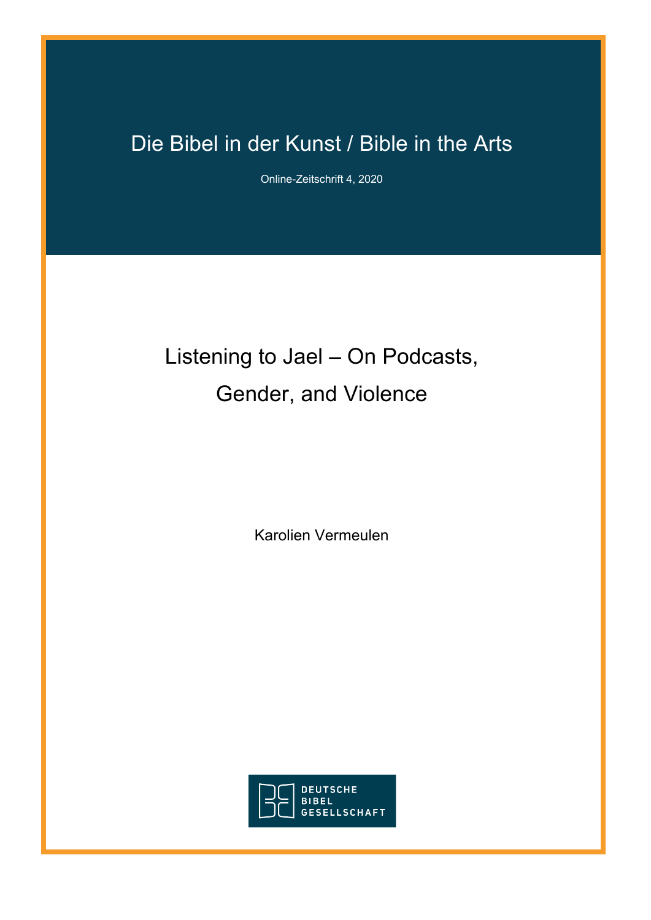## Die Bibel in der Kunst / Bible in the Arts

Online-Zeitschrift 4, 2020

# Listening to Jael – On Podcasts, Gender, and Violence

Karolien Vermeulen

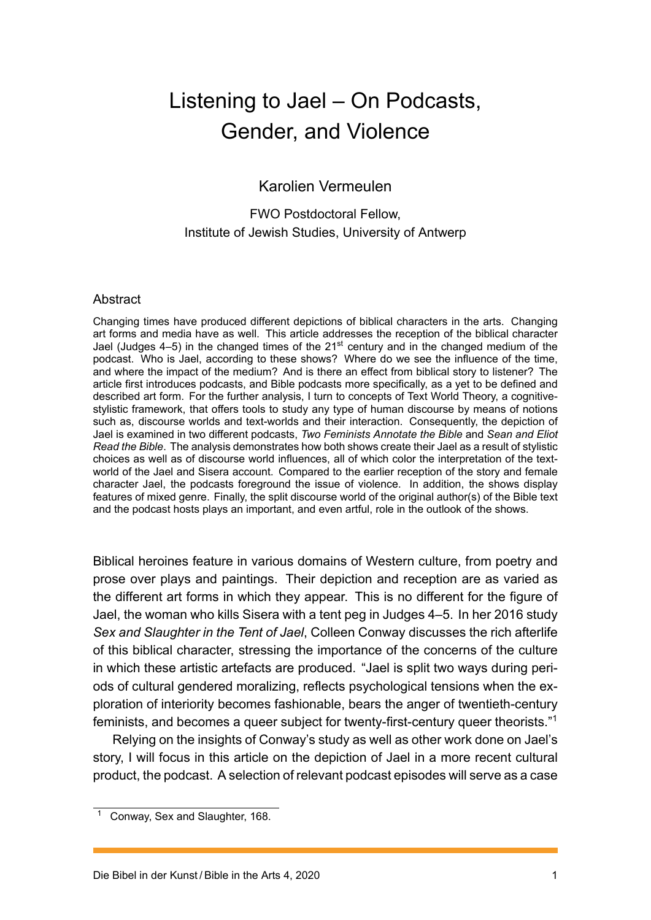## Listening to Jael – On Podcasts, Gender, and Violence

#### Karolien Vermeulen

#### FWO Postdoctoral Fellow, Institute of Jewish Studies, University of Antwerp

#### **Abstract**

Changing times have produced different depictions of biblical characters in the arts. Changing art forms and media have as well. This article addresses the reception of the biblical character Jael (Judges  $4-5$ ) in the changed times of the  $21<sup>st</sup>$  century and in the changed medium of the podcast. Who is Jael, according to these shows? Where do we see the influence of the time, and where the impact of the medium? And is there an effect from biblical story to listener? The article first introduces podcasts, and Bible podcasts more specifically, as a yet to be defined and described art form. For the further analysis, I turn to concepts of Text World Theory, a cognitivestylistic framework, that offers tools to study any type of human discourse by means of notions such as, discourse worlds and text-worlds and their interaction. Consequently, the depiction of Jael is examined in two different podcasts, *Two Feminists Annotate the Bible* and *Sean and Eliot Read the Bible*. The analysis demonstrates how both shows create their Jael as a result of stylistic choices as well as of discourse world influences, all of which color the interpretation of the textworld of the Jael and Sisera account. Compared to the earlier reception of the story and female character Jael, the podcasts foreground the issue of violence. In addition, the shows display features of mixed genre. Finally, the split discourse world of the original author(s) of the Bible text and the podcast hosts plays an important, and even artful, role in the outlook of the shows.

Biblical heroines feature in various domains of Western culture, from poetry and prose over plays and paintings. Their depiction and reception are as varied as the different art forms in which they appear. This is no different for the figure of Jael, the woman who kills Sisera with a tent peg in Judges 4–5. In her 2016 study *Sex and Slaughter in the Tent of Jael*, Colleen Conway discusses the rich afterlife of this biblical character, stressing the importance of the concerns of the culture in which these artistic artefacts are produced. "Jael is split two ways during periods of cultural gendered moralizing, reflects psychological tensions when the exploration of interiority becomes fashionable, bears the anger of twentieth-century feminists, and becomes a queer subject for twenty-first-century queer theorists."<sup>1</sup>

Relying on the insights of Conway's study as well as other work done on Jael's story, I will focus in this article on the depiction of Jael in a more recent cultural product, the podcast. A selection of relevant podcast episodes will serve as a cas[e](#page-1-0)

<span id="page-1-0"></span><sup>1</sup> Conway, Sex and Slaughter, 168.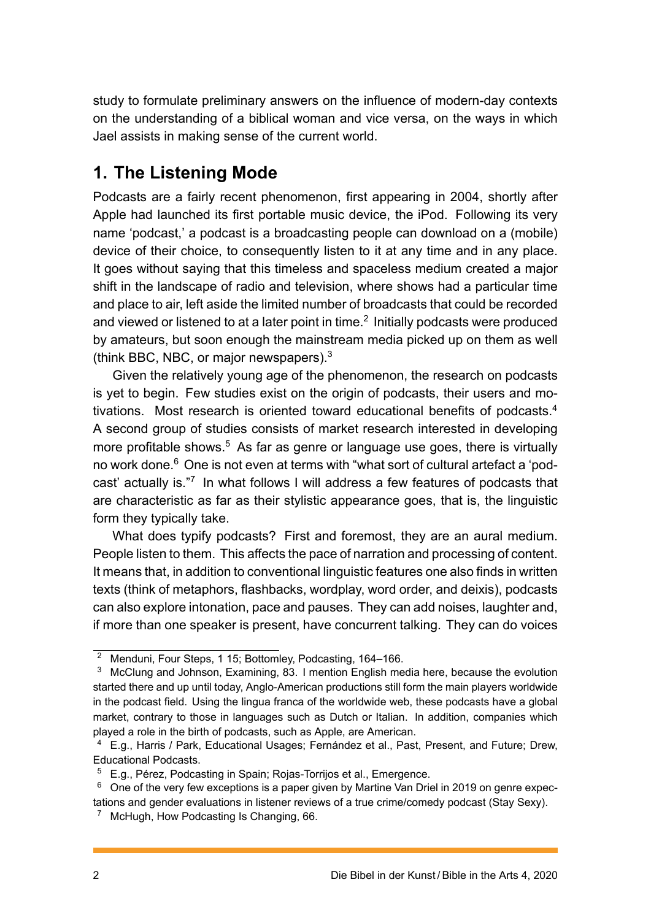study to formulate preliminary answers on the influence of modern-day contexts on the understanding of a biblical woman and vice versa, on the ways in which Jael assists in making sense of the current world.

## **1. The Listening Mode**

Podcasts are a fairly recent phenomenon, first appearing in 2004, shortly after Apple had launched its first portable music device, the iPod. Following its very name 'podcast,' a podcast is a broadcasting people can download on a (mobile) device of their choice, to consequently listen to it at any time and in any place. It goes without saying that this timeless and spaceless medium created a major shift in the landscape of radio and television, where shows had a particular time and place to air, left aside the limited number of broadcasts that could be recorded and viewed or listened to at a later point in time. $^2$  Initially podcasts were produced by amateurs, but soon enough the mainstream media picked up on them as well (think BBC, NBC, or major newspapers).<sup>3</sup>

Given the relatively young age of the phen[om](#page-2-0)enon, the research on podcasts is yet to begin. Few studies exist on the origin of podcasts, their users and motivations. Most research is oriented to[w](#page-2-1)ard educational benefits of podcasts.<sup>4</sup> A second group of studies consists of market research interested in developing more profitable shows.<sup>5</sup> As far as genre or language use goes, there is virtually no work done.<sup>6</sup> One is not even at terms with "what sort of cultural artefact a 'po[d](#page-2-2)cast' actually is."7 In what follows I will address a few features of podcasts that are characteristic as f[ar](#page-2-3) as their stylistic appearance goes, that is, the linguistic form they typi[ca](#page-2-4)lly take.

What does t[yp](#page-2-5)ify podcasts? First and foremost, they are an aural medium. People listen to them. This affects the pace of narration and processing of content. It means that, in addition to conventional linguistic features one also finds in written texts (think of metaphors, flashbacks, wordplay, word order, and deixis), podcasts can also explore intonation, pace and pauses. They can add noises, laughter and, if more than one speaker is present, have concurrent talking. They can do voices

<sup>2</sup> Menduni, Four Steps, 1 15; Bottomley, Podcasting, 164–166.

<span id="page-2-0"></span><sup>&</sup>lt;sup>3</sup> McClung and Johnson, Examining, 83. I mention English media here, because the evolution started there and up until today, Anglo-American productions still form the main players worldwide in the podcast field. Using the lingua franca of the worldwide web, these podcasts have a global market, contrary to those in languages such as Dutch or Italian. In addition, companies which played a role in the birth of podcasts, such as Apple, are American.

<span id="page-2-1"></span><sup>4</sup> E.g., Harris / Park, Educational Usages; Fernández et al., Past, Present, and Future; Drew, Educational Podcasts.

<sup>5</sup> E.g., Pérez, Podcasting in Spain; Rojas-Torrijos et al., Emergence.

<span id="page-2-2"></span> $6\degree$  One of the very few exceptions is a paper given by Martine Van Driel in 2019 on genre expectations and gender evaluations in listener reviews of a true crime/comedy podcast (Stay Sexy).

<span id="page-2-5"></span><span id="page-2-4"></span><span id="page-2-3"></span><sup>&</sup>lt;sup>7</sup> McHugh, How Podcasting Is Changing, 66.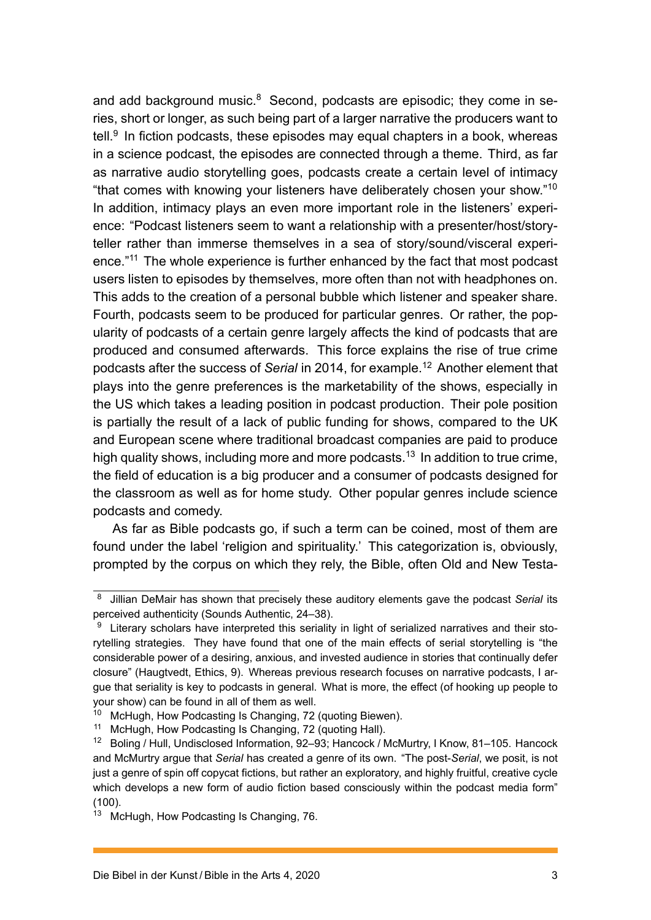and add background music. $8$  Second, podcasts are episodic; they come in series, short or longer, as such being part of a larger narrative the producers want to tell.<sup>9</sup> In fiction podcasts, these episodes may equal chapters in a book, whereas in a science podcast, the ep[is](#page-3-0)odes are connected through a theme. Third, as far as narrative audio storytelling goes, podcasts create a certain level of intimacy "th[at](#page-3-1) comes with knowing your listeners have deliberately chosen your show."<sup>10</sup> In addition, intimacy plays an even more important role in the listeners' experience: "Podcast listeners seem to want a relationship with a presenter/host/storyteller rather than immerse themselves in a sea of story/sound/visceral expe[ri](#page-3-2)ence."<sup>11</sup> The whole experience is further enhanced by the fact that most podcast users listen to episodes by themselves, more often than not with headphones on. This adds to the creation of a personal bubble which listener and speaker share. Fourt[h, p](#page-3-3)odcasts seem to be produced for particular genres. Or rather, the popularity of podcasts of a certain genre largely affects the kind of podcasts that are produced and consumed afterwards. This force explains the rise of true crime podcasts after the success of *Serial* in 2014, for example.<sup>12</sup> Another element that plays into the genre preferences is the marketability of the shows, especially in the US which takes a leading position in podcast production. Their pole position is partially the result of a lack of public funding for sho[ws,](#page-3-4) compared to the UK and European scene where traditional broadcast companies are paid to produce high quality shows, including more and more podcasts.<sup>13</sup> In addition to true crime, the field of education is a big producer and a consumer of podcasts designed for the classroom as well as for home study. Other popular genres include science podcasts and comedy.

As far as Bible podcasts go, if such a term can be coined, most of them are found under the label 'religion and spirituality.' This categorization is, obviously, prompted by the corpus on which they rely, the Bible, often Old and New Testa-

<sup>8</sup> Jillian DeMair has shown that precisely these auditory elements gave the podcast *Serial* its perceived authenticity (Sounds Authentic, 24–38).

<span id="page-3-0"></span><sup>&</sup>lt;sup>9</sup> Literary scholars have interpreted this seriality in light of serialized narratives and their storytelling strategies. They have found that one of the main effects of serial storytelling is "the considerable power of a desiring, anxious, and invested audience in stories that continually defer closure" (Haugtvedt, Ethics, 9). Whereas previous research focuses on narrative podcasts, I argue that seriality is key to podcasts in general. What is more, the effect (of hooking up people to your show) can be found in all of them as well.

<span id="page-3-1"></span><sup>&</sup>lt;sup>10</sup> McHugh, How Podcasting Is Changing, 72 (quoting Biewen).

<sup>&</sup>lt;sup>11</sup> McHugh, How Podcasting Is Changing, 72 (quoting Hall).

<span id="page-3-3"></span><span id="page-3-2"></span><sup>&</sup>lt;sup>12</sup> Boling / Hull, Undisclosed Information, 92–93; Hancock / McMurtry, I Know, 81–105. Hancock and McMurtry argue that *Serial* has created a genre of its own. "The post-*Serial*, we posit, is not just a genre of spin off copycat fictions, but rather an exploratory, and highly fruitful, creative cycle which develops a new form of audio fiction based consciously within the podcast media form"  $(100)$ .

<span id="page-3-4"></span><sup>&</sup>lt;sup>13</sup> McHugh, How Podcasting Is Changing, 76.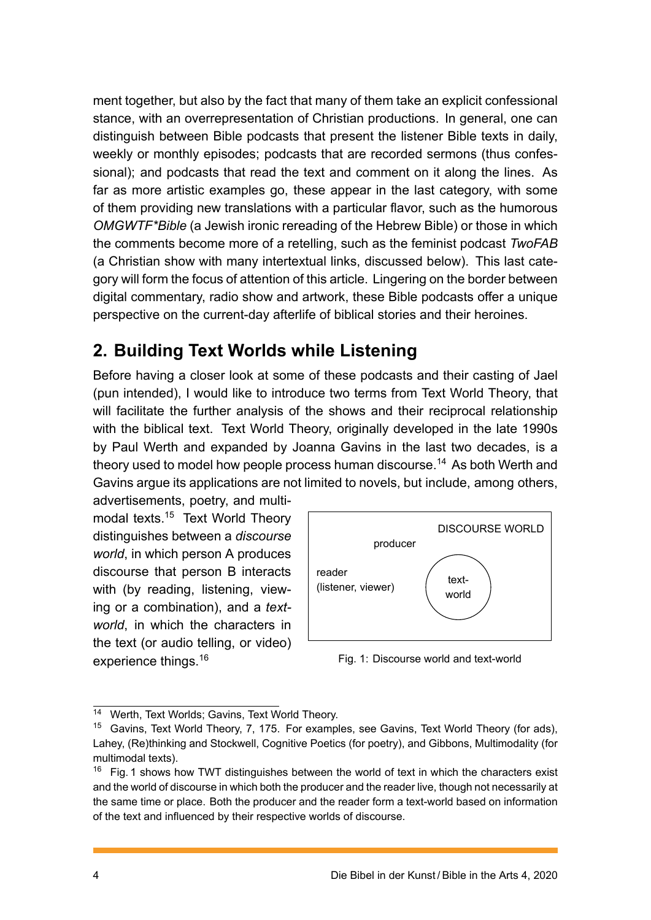ment together, but also by the fact that many of them take an explicit confessional stance, with an overrepresentation of Christian productions. In general, one can distinguish between Bible podcasts that present the listener Bible texts in daily, weekly or monthly episodes; podcasts that are recorded sermons (thus confessional); and podcasts that read the text and comment on it along the lines. As far as more artistic examples go, these appear in the last category, with some of them providing new translations with a particular flavor, such as the humorous *OMGWTF\*Bible* (a Jewish ironic rereading of the Hebrew Bible) or those in which the comments become more of a retelling, such as the feminist podcast *TwoFAB* (a Christian show with many intertextual links, discussed below). This last category will form the focus of attention of this article. Lingering on the border between digital commentary, radio show and artwork, these Bible podcasts offer a unique perspective on the current-day afterlife of biblical stories and their heroines.

## **2. Building Text Worlds while Listening**

Before having a closer look at some of these podcasts and their casting of Jael (pun intended), I would like to introduce two terms from Text World Theory, that will facilitate the further analysis of the shows and their reciprocal relationship with the biblical text. Text World Theory, originally developed in the late 1990s by Paul Werth and expanded by Joanna Gavins in the last two decades, is a theory used to model how people process human discourse.<sup>14</sup> As both Werth and Gavins argue its applications are not limited to novels, but include, among others,

advertisements, poetry, and multimodal texts.<sup>15</sup> Text World Theory distinguishes between a *discourse world*, in which person A produces discourse t[hat](#page-4-0) person B interacts with (by reading, listening, viewing or a combination), and a *textworld*, in which the characters in the text (or audio telling, or video) experience things.<sup>16</sup>

<span id="page-4-2"></span>

Fig. 1: Discourse world and text-world

<sup>14</sup> Werth, Text World[s; G](#page-4-1)avins, Text World Theory.

<sup>&</sup>lt;sup>15</sup> Gavins, Text World Theory, 7, 175. For examples, see Gavins, Text World Theory (for ads), Lahey, (Re)thinking and Stockwell, Cognitive Poetics (for poetry), and Gibbons, Multimodality (for multimodal texts).

<span id="page-4-1"></span><span id="page-4-0"></span> $16$  Fig. 1 shows how TWT distinguishes between the world of text in which the characters exist and the world of discourse in which both the producer and the reader live, though not necessarily at the same time or place. Both the producer and the reader form a text-world based on information of the t[ex](#page-4-2)t and influenced by their respective worlds of discourse.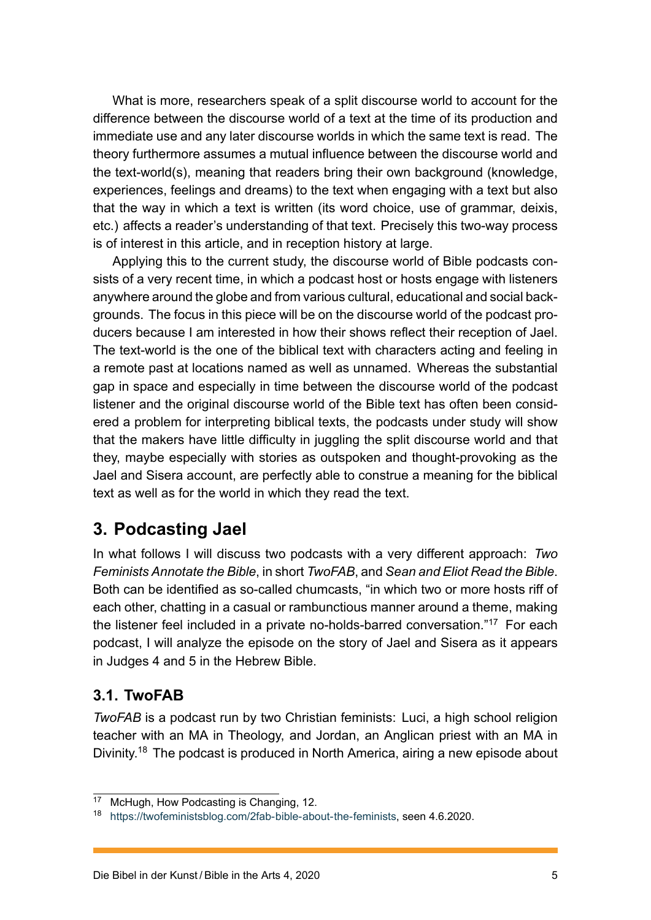What is more, researchers speak of a split discourse world to account for the difference between the discourse world of a text at the time of its production and immediate use and any later discourse worlds in which the same text is read. The theory furthermore assumes a mutual influence between the discourse world and the text-world(s), meaning that readers bring their own background (knowledge, experiences, feelings and dreams) to the text when engaging with a text but also that the way in which a text is written (its word choice, use of grammar, deixis, etc.) affects a reader's understanding of that text. Precisely this two-way process is of interest in this article, and in reception history at large.

Applying this to the current study, the discourse world of Bible podcasts consists of a very recent time, in which a podcast host or hosts engage with listeners anywhere around the globe and from various cultural, educational and social backgrounds. The focus in this piece will be on the discourse world of the podcast producers because I am interested in how their shows reflect their reception of Jael. The text-world is the one of the biblical text with characters acting and feeling in a remote past at locations named as well as unnamed. Whereas the substantial gap in space and especially in time between the discourse world of the podcast listener and the original discourse world of the Bible text has often been considered a problem for interpreting biblical texts, the podcasts under study will show that the makers have little difficulty in juggling the split discourse world and that they, maybe especially with stories as outspoken and thought-provoking as the Jael and Sisera account, are perfectly able to construe a meaning for the biblical text as well as for the world in which they read the text.

### **3. Podcasting Jael**

In what follows I will discuss two podcasts with a very different approach: *Two Feminists Annotate the Bible*, in short *TwoFAB*, and *Sean and Eliot Read the Bible*. Both can be identified as so-called chumcasts, "in which two or more hosts riff of each other, chatting in a casual or rambunctious manner around a theme, making the listener feel included in a private no-holds-barred conversation."<sup>17</sup> For each podcast, I will analyze the episode on the story of Jael and Sisera as it appears in Judges 4 and 5 in the Hebrew Bible.

### **3.1. TwoFAB**

*TwoFAB* is a podcast run by two Christian feminists: Luci, a high school religion teacher with an MA in Theology, and Jordan, an Anglican priest with an MA in Divinity.<sup>18</sup> The podcast is produced in North America, airing a new episode about

<sup>&</sup>lt;sup>17</sup> McH[ugh](#page-5-0), How Podcasting is Changing, 12.

<span id="page-5-0"></span><sup>18</sup> https://twofeministsblog.com/2fab-bible-about-the-feminists, seen 4.6.2020.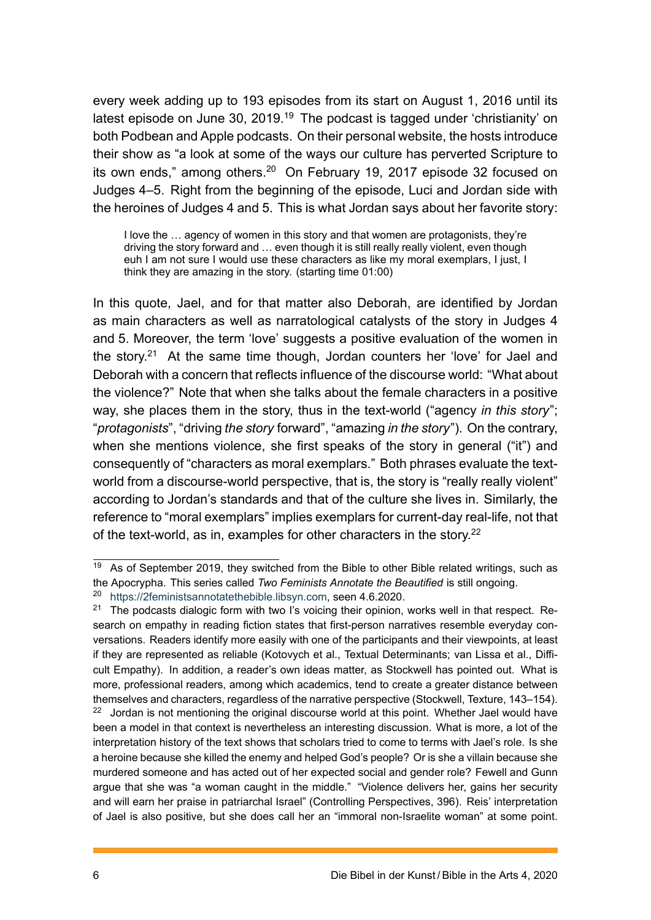every week adding up to 193 episodes from its start on August 1, 2016 until its latest episode on June 30, 2019.<sup>19</sup> The podcast is tagged under 'christianity' on both Podbean and Apple podcasts. On their personal website, the hosts introduce their show as "a look at some of the ways our culture has perverted Scripture to its own ends," among others.<sup>20</sup> [O](#page-6-0)n February 19, 2017 episode 32 focused on Judges 4–5. Right from the beginning of the episode, Luci and Jordan side with the heroines of Judges 4 and 5. This is what Jordan says about her favorite story:

I love the … agency of women in this story and that women are protagonists, they're driving the story forward and … even though it is still really really violent, even though euh I am not sure I would use these characters as like my moral exemplars, I just, I think they are amazing in the story. (starting time 01:00)

In this quote, Jael, and for that matter also Deborah, are identified by Jordan as main characters as well as narratological catalysts of the story in Judges 4 and 5. Moreover, the term 'love' suggests a positive evaluation of the women in the story.<sup>21</sup> At the same time though, Jordan counters her 'love' for Jael and Deborah with a concern that reflects influence of the discourse world: "What about the violence?" Note that when she talks about the female characters in a positive way, she [pl](#page-6-1)aces them in the story, thus in the text-world ("agency *in this story*"; "*protagonists*", "driving *the story* forward", "amazing *in the story*"). On the contrary, when she mentions violence, she first speaks of the story in general ("it") and consequently of "characters as moral exemplars." Both phrases evaluate the textworld from a discourse-world perspective, that is, the story is "really really violent" according to Jordan's standards and that of the culture she lives in. Similarly, the reference to "moral exemplars" implies exemplars for current-day real-life, not that of the text-world, as in, examples for other characters in the story.<sup>22</sup>

 $19$  As of September 2019, they switched from the Bible to other Bible related writings, such as the Apocrypha. This series called *Two Feminists Annotate the Beautified* is stil[l o](#page-6-2)ngoing.

<sup>20</sup> https://2feministsannotatethebible.libsyn.com, seen 4.6.2020.

<span id="page-6-1"></span><span id="page-6-0"></span><sup>&</sup>lt;sup>21</sup> The podcasts dialogic form with two I's voicing their opinion, works well in that respect. Research on empathy in reading fiction states that first-person narratives resemble everyday conversations. Readers identify more easily with one of the participants and their viewpoints, at least if t[hey are represented as reliable \(Kotovych et a](https://2feministsannotatethebible.libsyn.com)l., Textual Determinants; van Lissa et al., Difficult Empathy). In addition, a reader's own ideas matter, as Stockwell has pointed out. What is more, professional readers, among which academics, tend to create a greater distance between themselves and characters, regardless of the narrative perspective (Stockwell, Texture, 143–154).

<span id="page-6-2"></span> $22$  Jordan is not mentioning the original discourse world at this point. Whether Jael would have been a model in that context is nevertheless an interesting discussion. What is more, a lot of the interpretation history of the text shows that scholars tried to come to terms with Jael's role. Is she a heroine because she killed the enemy and helped God's people? Or is she a villain because she murdered someone and has acted out of her expected social and gender role? Fewell and Gunn argue that she was "a woman caught in the middle." "Violence delivers her, gains her security and will earn her praise in patriarchal Israel" (Controlling Perspectives, 396). Reis' interpretation of Jael is also positive, but she does call her an "immoral non-Israelite woman" at some point.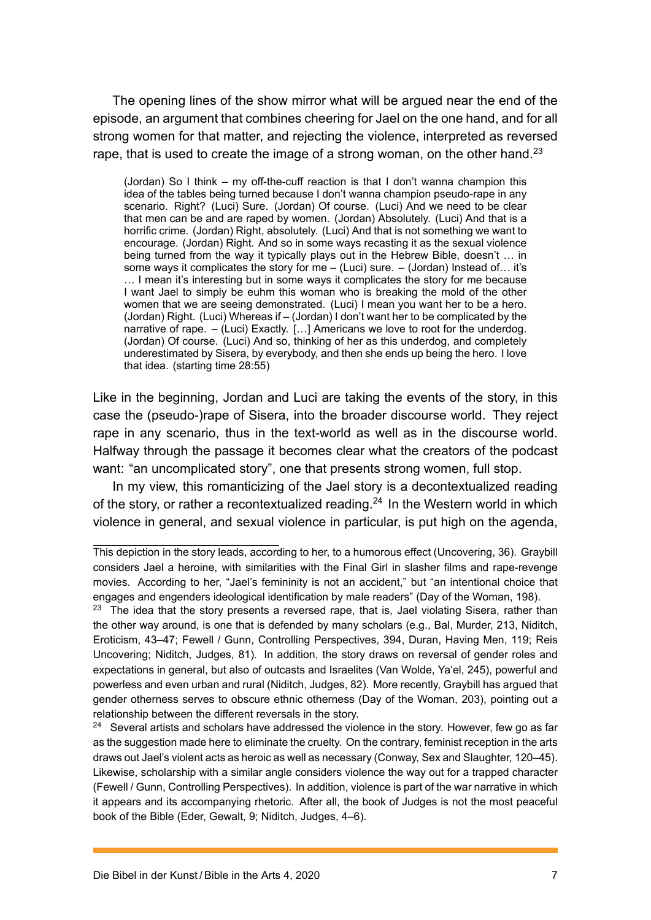The opening lines of the show mirror what will be argued near the end of the episode, an argument that combines cheering for Jael on the one hand, and for all strong women for that matter, and rejecting the violence, interpreted as reversed rape, that is used to create the image of a strong woman, on the other hand.<sup>23</sup>

(Jordan) So I think – my off-the-cuff reaction is that I don't wanna champion this idea of the tables being turned because I don't wanna champion pseudo-rape in any scenario. Right? (Luci) Sure. (Jordan) Of course. (Luci) And we need to be clear that men can be and are raped by women. (Jordan) Absolutely. (Luci) And that is a horrific crime. (Jordan) Right, absolutely. (Luci) And that is not something we want to encourage. (Jordan) Right. And so in some ways recasting it as the sexual violence being turned from the way it typically plays out in the Hebrew Bible, doesn't … in some ways it complicates the story for me  $-$  (Luci) sure.  $-$  (Jordan) Instead of... it's … I mean it's interesting but in some ways it complicates the story for me because I want Jael to simply be euhm this woman who is breaking the mold of the other women that we are seeing demonstrated. (Luci) I mean you want her to be a hero. (Jordan) Right. (Luci) Whereas if – (Jordan) I don't want her to be complicated by the narrative of rape. – (Luci) Exactly. […] Americans we love to root for the underdog. (Jordan) Of course. (Luci) And so, thinking of her as this underdog, and completely underestimated by Sisera, by everybody, and then she ends up being the hero. I love that idea. (starting time 28:55)

Like in the beginning, Jordan and Luci are taking the events of the story, in this case the (pseudo-)rape of Sisera, into the broader discourse world. They reject rape in any scenario, thus in the text-world as well as in the discourse world. Halfway through the passage it becomes clear what the creators of the podcast want: "an uncomplicated story", one that presents strong women, full stop.

In my view, this romanticizing of the Jael story is a decontextualized reading of the story, or rather a recontextualized reading.<sup>24</sup> In the Western world in which violence in general, and sexual violence in particular, is put high on the agenda,

<span id="page-7-0"></span><sup>24</sup> Several artists and scholars have addressed the violence in the story. However, few go as far as the suggestion made here to eliminate the cruelty. On the contrary, feminist reception in the arts draws out Jael's violent acts as heroic as well as necessary (Conway, Sex and Slaughter, 120–45). Likewise, scholarship with a similar angle considers violence the way out for a trapped character (Fewell / Gunn, Controlling Perspectives). In addition, violence is part of the war narrative in which it appears and its accompanying rhetoric. After all, the book of Judges is not the most peaceful book of the Bible (Eder, Gewalt, 9; Niditch, Judges, 4–6).

This depiction in the story leads, according to her, to a hu[mor](#page-7-0)ous effect (Uncovering, 36). Graybill considers Jael a heroine, with similarities with the Final Girl in slasher films and rape-revenge movies. According to her, "Jael's femininity is not an accident," but "an intentional choice that engages and engenders ideological identification by male readers" (Day of the Woman, 198).

 $23$  The idea that the story presents a reversed rape, that is, Jael violating Sisera, rather than the other way around, is one that is defended by many scholars (e.g., Bal, Murder, 213, Niditch, Eroticism, 43–47; Fewell / Gunn, Controlling Perspectives, 394, Duran, Having Men, 119; Reis Uncovering; Niditch, Judges, 81). In addition, the story draws on reversal of gender roles and expectations in general, but also of outcasts and Israelites (Van Wolde, Ya'el, 245), powerful and powerless and even urban and rural (Niditch, Judges, 82). More recently, Graybill has argued that gender otherness serves to obscure ethnic otherness (Day of the Woman, 203), pointing out a relationship between the different reversals in the story.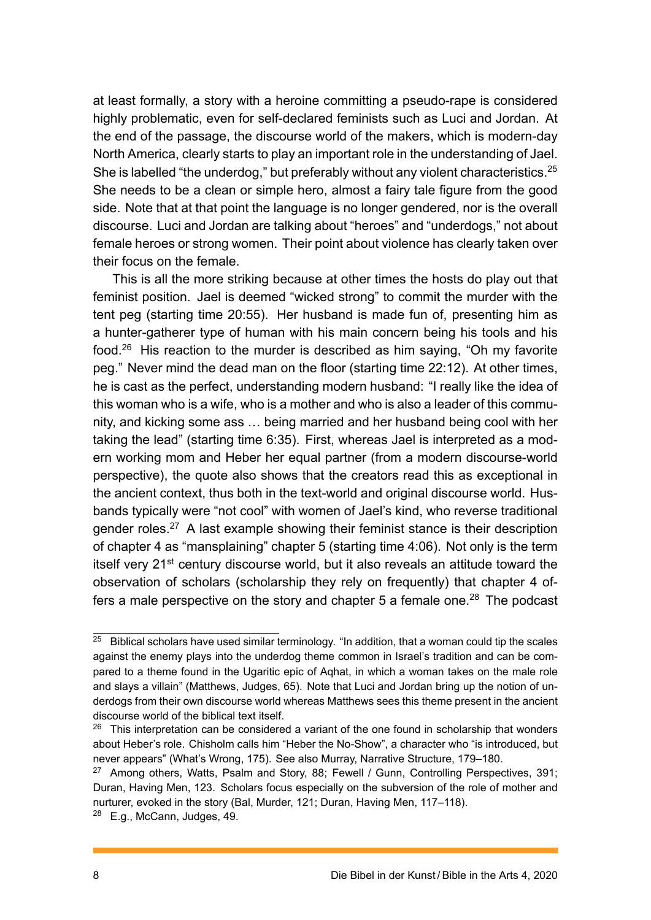at least formally, a story with a heroine committing a pseudo-rape is considered highly problematic, even for self-declared feminists such as Luci and Jordan. At the end of the passage, the discourse world of the makers, which is modern-day North America, clearly starts to play an important role in the understanding of Jael. She is labelled "the underdog," but preferably without any violent characteristics.<sup>25</sup> She needs to be a clean or simple hero, almost a fairy tale figure from the good side. Note that at that point the language is no longer gendered, nor is the overall discourse. Luci and Jordan are talking about "heroes" and "underdogs," not abo[ut](#page-8-0) female heroes or strong women. Their point about violence has clearly taken over their focus on the female.

This is all the more striking because at other times the hosts do play out that feminist position. Jael is deemed "wicked strong" to commit the murder with the tent peg (starting time 20:55). Her husband is made fun of, presenting him as a hunter-gatherer type of human with his main concern being his tools and his food.<sup>26</sup> His reaction to the murder is described as him saying, "Oh my favorite peg." Never mind the dead man on the floor (starting time 22:12). At other times, he is cast as the perfect, understanding modern husband: "I really like the idea of this [wo](#page-8-1)man who is a wife, who is a mother and who is also a leader of this community, and kicking some ass … being married and her husband being cool with her taking the lead" (starting time 6:35). First, whereas Jael is interpreted as a modern working mom and Heber her equal partner (from a modern discourse-world perspective), the quote also shows that the creators read this as exceptional in the ancient context, thus both in the text-world and original discourse world. Husbands typically were "not cool" with women of Jael's kind, who reverse traditional gender roles.<sup>27</sup> A last example showing their feminist stance is their description of chapter 4 as "mansplaining" chapter 5 (starting time 4:06). Not only is the term itself very 21st century discourse world, but it also reveals an attitude toward the observation [of](#page-8-2) scholars (scholarship they rely on frequently) that chapter 4 offers a male perspective on the story and chapter 5 a female one.<sup>28</sup> The podcast

 $25$  Biblical scholars have used similar terminology. "In addition, that a woman could tip the scales against the enemy plays into the underdog theme common in Israel's traditio[n a](#page-8-3)nd can be compared to a theme found in the Ugaritic epic of Aqhat, in which a woman takes on the male role and slays a villain" (Matthews, Judges, 65). Note that Luci and Jordan bring up the notion of underdogs from their own discourse world whereas Matthews sees this theme present in the ancient discourse world of the biblical text itself.

<span id="page-8-0"></span> $26$  This interpretation can be considered a variant of the one found in scholarship that wonders about Heber's role. Chisholm calls him "Heber the No-Show", a character who "is introduced, but never appears" (What's Wrong, 175). See also Murray, Narrative Structure, 179–180.

<span id="page-8-1"></span><sup>&</sup>lt;sup>27</sup> Among others, Watts, Psalm and Story, 88; Fewell / Gunn, Controlling Perspectives, 391; Duran, Having Men, 123. Scholars focus especially on the subversion of the role of mother and nurturer, evoked in the story (Bal, Murder, 121; Duran, Having Men, 117–118).

<span id="page-8-3"></span><span id="page-8-2"></span><sup>28</sup> E.g., McCann, Judges, 49.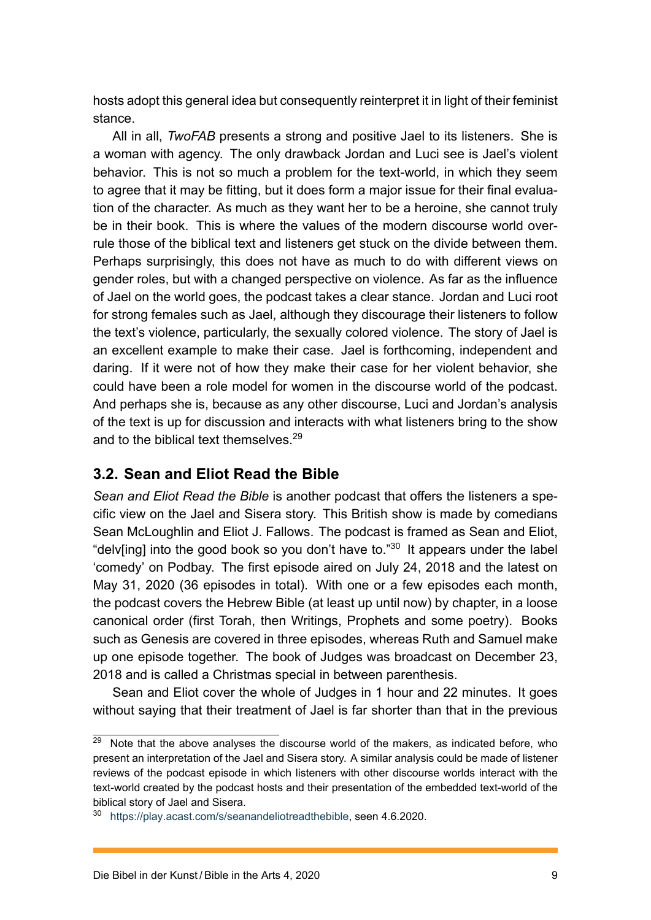hosts adopt this general idea but consequently reinterpret it in light of their feminist stance.

All in all, *TwoFAB* presents a strong and positive Jael to its listeners. She is a woman with agency. The only drawback Jordan and Luci see is Jael's violent behavior. This is not so much a problem for the text-world, in which they seem to agree that it may be fitting, but it does form a major issue for their final evaluation of the character. As much as they want her to be a heroine, she cannot truly be in their book. This is where the values of the modern discourse world overrule those of the biblical text and listeners get stuck on the divide between them. Perhaps surprisingly, this does not have as much to do with different views on gender roles, but with a changed perspective on violence. As far as the influence of Jael on the world goes, the podcast takes a clear stance. Jordan and Luci root for strong females such as Jael, although they discourage their listeners to follow the text's violence, particularly, the sexually colored violence. The story of Jael is an excellent example to make their case. Jael is forthcoming, independent and daring. If it were not of how they make their case for her violent behavior, she could have been a role model for women in the discourse world of the podcast. And perhaps she is, because as any other discourse, Luci and Jordan's analysis of the text is up for discussion and interacts with what listeners bring to the show and to the biblical text themselves.<sup>29</sup>

#### **3.2. Sean and Eliot Read the Bible**

*Sean and Eliot Read the Bible* is [ano](#page-9-0)ther podcast that offers the listeners a specific view on the Jael and Sisera story. This British show is made by comedians Sean McLoughlin and Eliot J. Fallows. The podcast is framed as Sean and Eliot, "delv[ing] into the good book so you don't have to." $30$  It appears under the label 'comedy' on Podbay. The first episode aired on July 24, 2018 and the latest on May 31, 2020 (36 episodes in total). With one or a few episodes each month, the podcast covers the Hebrew Bible (at least up u[ntil](#page-9-1) now) by chapter, in a loose canonical order (first Torah, then Writings, Prophets and some poetry). Books such as Genesis are covered in three episodes, whereas Ruth and Samuel make up one episode together. The book of Judges was broadcast on December 23, 2018 and is called a Christmas special in between parenthesis.

Sean and Eliot cover the whole of Judges in 1 hour and 22 minutes. It goes without saying that their treatment of Jael is far shorter than that in the previous

 $29$  Note that the above analyses the discourse world of the makers, as indicated before, who present an interpretation of the Jael and Sisera story. A similar analysis could be made of listener reviews of the podcast episode in which listeners with other discourse worlds interact with the text-world created by the podcast hosts and their presentation of the embedded text-world of the biblical story of Jael and Sisera.

<span id="page-9-1"></span><span id="page-9-0"></span><sup>30</sup> https://play.acast.com/s/seanandeliotreadthebible, seen 4.6.2020.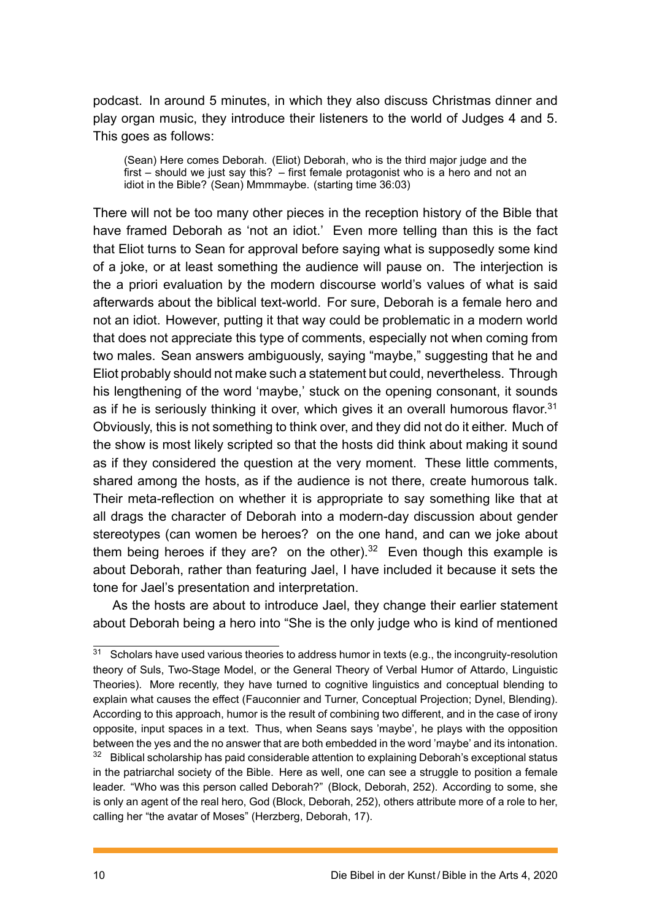podcast. In around 5 minutes, in which they also discuss Christmas dinner and play organ music, they introduce their listeners to the world of Judges 4 and 5. This goes as follows:

(Sean) Here comes Deborah. (Eliot) Deborah, who is the third major judge and the first – should we just say this? – first female protagonist who is a hero and not an idiot in the Bible? (Sean) Mmmmaybe. (starting time 36:03)

There will not be too many other pieces in the reception history of the Bible that have framed Deborah as 'not an idiot.' Even more telling than this is the fact that Eliot turns to Sean for approval before saying what is supposedly some kind of a joke, or at least something the audience will pause on. The interjection is the a priori evaluation by the modern discourse world's values of what is said afterwards about the biblical text-world. For sure, Deborah is a female hero and not an idiot. However, putting it that way could be problematic in a modern world that does not appreciate this type of comments, especially not when coming from two males. Sean answers ambiguously, saying "maybe," suggesting that he and Eliot probably should not make such a statement but could, nevertheless. Through his lengthening of the word 'maybe,' stuck on the opening consonant, it sounds as if he is seriously thinking it over, which gives it an overall humorous flavor.<sup>31</sup> Obviously, this is not something to think over, and they did not do it either. Much of the show is most likely scripted so that the hosts did think about making it sound as if they considered the question at the very moment. These little comment[s,](#page-10-0) shared among the hosts, as if the audience is not there, create humorous talk. Their meta-reflection on whether it is appropriate to say something like that at all drags the character of Deborah into a modern-day discussion about gender stereotypes (can women be heroes? on the one hand, and can we joke about them being heroes if they are? on the other).<sup>32</sup> Even though this example is about Deborah, rather than featuring Jael, I have included it because it sets the tone for Jael's presentation and interpretation.

As the hosts are about to introduce Jael, th[ey](#page-10-1) change their earlier statement about Deborah being a hero into "She is the only judge who is kind of mentioned

<span id="page-10-1"></span><span id="page-10-0"></span><sup>&</sup>lt;sup>31</sup> Scholars have used various theories to address humor in texts (e.g., the incongruity-resolution theory of Suls, Two-Stage Model, or the General Theory of Verbal Humor of Attardo, Linguistic Theories). More recently, they have turned to cognitive linguistics and conceptual blending to explain what causes the effect (Fauconnier and Turner, Conceptual Projection; Dynel, Blending). According to this approach, humor is the result of combining two different, and in the case of irony opposite, input spaces in a text. Thus, when Seans says 'maybe', he plays with the opposition between the yes and the no answer that are both embedded in the word 'maybe' and its intonation. <sup>32</sup> Biblical scholarship has paid considerable attention to explaining Deborah's exceptional status in the patriarchal society of the Bible. Here as well, one can see a struggle to position a female leader. "Who was this person called Deborah?" (Block, Deborah, 252). According to some, she is only an agent of the real hero, God (Block, Deborah, 252), others attribute more of a role to her, calling her "the avatar of Moses" (Herzberg, Deborah, 17).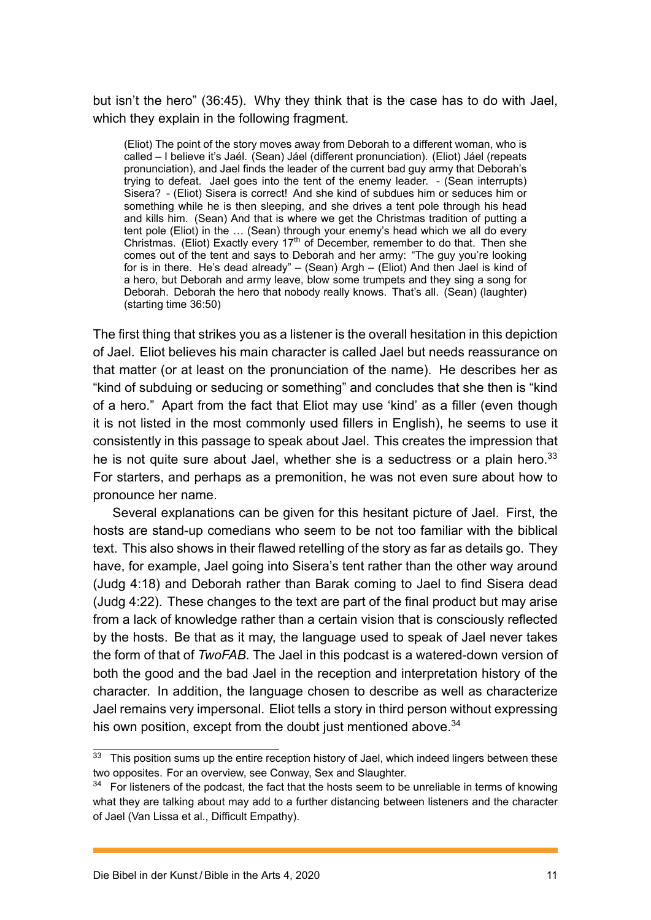but isn't the hero" (36:45). Why they think that is the case has to do with Jael, which they explain in the following fragment.

(Eliot) The point of the story moves away from Deborah to a different woman, who is called – I believe it's Jaél. (Sean) Jáel (different pronunciation). (Eliot) Jáel (repeats pronunciation), and Jael finds the leader of the current bad guy army that Deborah's trying to defeat. Jael goes into the tent of the enemy leader. - (Sean interrupts) Sisera? - (Eliot) Sisera is correct! And she kind of subdues him or seduces him or something while he is then sleeping, and she drives a tent pole through his head and kills him. (Sean) And that is where we get the Christmas tradition of putting a tent pole (Eliot) in the … (Sean) through your enemy's head which we all do every Christmas. (Eliot) Exactly every 17<sup>th</sup> of December, remember to do that. Then she comes out of the tent and says to Deborah and her army: "The guy you're looking for is in there. He's dead already" – (Sean) Argh – (Eliot) And then Jael is kind of a hero, but Deborah and army leave, blow some trumpets and they sing a song for Deborah. Deborah the hero that nobody really knows. That's all. (Sean) (laughter) (starting time 36:50)

The first thing that strikes you as a listener is the overall hesitation in this depiction of Jael. Eliot believes his main character is called Jael but needs reassurance on that matter (or at least on the pronunciation of the name). He describes her as "kind of subduing or seducing or something" and concludes that she then is "kind of a hero." Apart from the fact that Eliot may use 'kind' as a filler (even though it is not listed in the most commonly used fillers in English), he seems to use it consistently in this passage to speak about Jael. This creates the impression that he is not quite sure about Jael, whether she is a seductress or a plain hero.<sup>33</sup> For starters, and perhaps as a premonition, he was not even sure about how to pronounce her name.

Several explanations can be given for this hesitant picture of Jael. First, t[he](#page-11-0) hosts are stand-up comedians who seem to be not too familiar with the biblical text. This also shows in their flawed retelling of the story as far as details go. They have, for example, Jael going into Sisera's tent rather than the other way around (Judg 4:18) and Deborah rather than Barak coming to Jael to find Sisera dead (Judg 4:22). These changes to the text are part of the final product but may arise from a lack of knowledge rather than a certain vision that is consciously reflected by the hosts. Be that as it may, the language used to speak of Jael never takes the form of that of *TwoFAB*. The Jael in this podcast is a watered-down version of both the good and the bad Jael in the reception and interpretation history of the character. In addition, the language chosen to describe as well as characterize Jael remains very impersonal. Eliot tells a story in third person without expressing his own position, except from the doubt just mentioned above.<sup>34</sup>

 $33$  This position sums up the entire reception history of Jael, which indeed lingers between these two opposites. For an overview, see Conway, Sex and Slaughter.

<span id="page-11-1"></span><span id="page-11-0"></span><sup>&</sup>lt;sup>34</sup> For listeners of the podcast, the fact that the hosts seem to be unrelia[ble](#page-11-1) in terms of knowing what they are talking about may add to a further distancing between listeners and the character of Jael (Van Lissa et al., Difficult Empathy).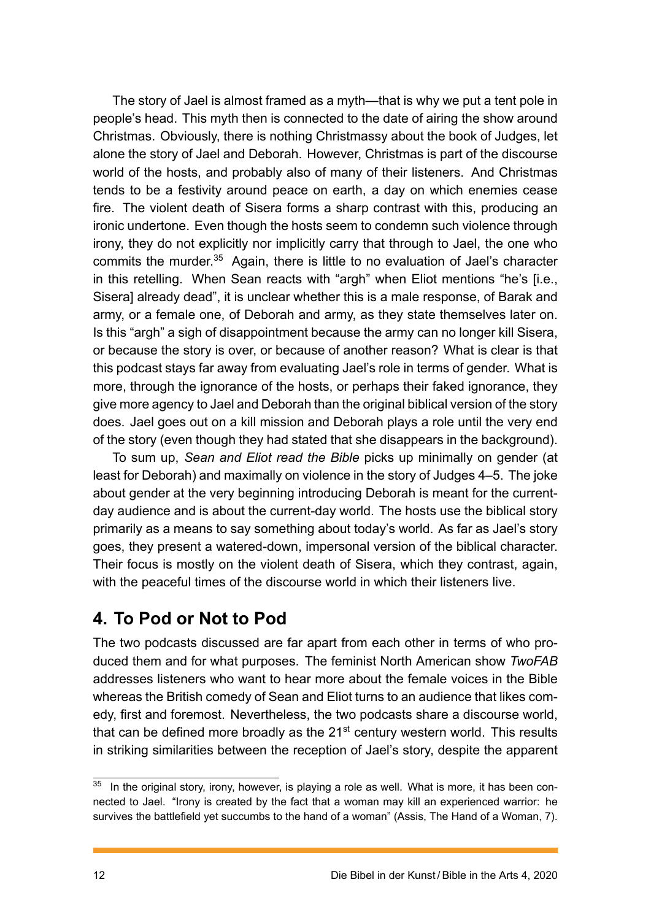The story of Jael is almost framed as a myth—that is why we put a tent pole in people's head. This myth then is connected to the date of airing the show around Christmas. Obviously, there is nothing Christmassy about the book of Judges, let alone the story of Jael and Deborah. However, Christmas is part of the discourse world of the hosts, and probably also of many of their listeners. And Christmas tends to be a festivity around peace on earth, a day on which enemies cease fire. The violent death of Sisera forms a sharp contrast with this, producing an ironic undertone. Even though the hosts seem to condemn such violence through irony, they do not explicitly nor implicitly carry that through to Jael, the one who commits the murder.<sup>35</sup> Again, there is little to no evaluation of Jael's character in this retelling. When Sean reacts with "argh" when Eliot mentions "he's [i.e., Sisera] already dead", it is unclear whether this is a male response, of Barak and army, or a female o[ne,](#page-12-0) of Deborah and army, as they state themselves later on. Is this "argh" a sigh of disappointment because the army can no longer kill Sisera, or because the story is over, or because of another reason? What is clear is that this podcast stays far away from evaluating Jael's role in terms of gender. What is more, through the ignorance of the hosts, or perhaps their faked ignorance, they give more agency to Jael and Deborah than the original biblical version of the story does. Jael goes out on a kill mission and Deborah plays a role until the very end of the story (even though they had stated that she disappears in the background).

To sum up, *Sean and Eliot read the Bible* picks up minimally on gender (at least for Deborah) and maximally on violence in the story of Judges 4–5. The joke about gender at the very beginning introducing Deborah is meant for the currentday audience and is about the current-day world. The hosts use the biblical story primarily as a means to say something about today's world. As far as Jael's story goes, they present a watered-down, impersonal version of the biblical character. Their focus is mostly on the violent death of Sisera, which they contrast, again, with the peaceful times of the discourse world in which their listeners live.

## **4. To Pod or Not to Pod**

The two podcasts discussed are far apart from each other in terms of who produced them and for what purposes. The feminist North American show *TwoFAB* addresses listeners who want to hear more about the female voices in the Bible whereas the British comedy of Sean and Eliot turns to an audience that likes comedy, first and foremost. Nevertheless, the two podcasts share a discourse world, that can be defined more broadly as the  $21<sup>st</sup>$  century western world. This results in striking similarities between the reception of Jael's story, despite the apparent

<span id="page-12-0"></span><sup>&</sup>lt;sup>35</sup> In the original story, irony, however, is playing a role as well. What is more, it has been connected to Jael. "Irony is created by the fact that a woman may kill an experienced warrior: he survives the battlefield yet succumbs to the hand of a woman" (Assis, The Hand of a Woman, 7).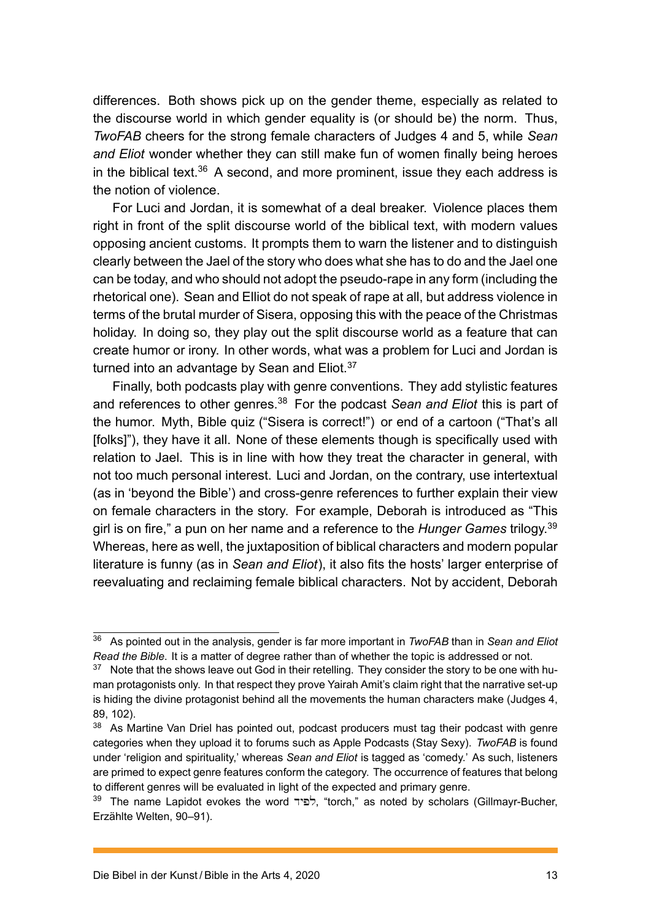differences. Both shows pick up on the gender theme, especially as related to the discourse world in which gender equality is (or should be) the norm. Thus, *TwoFAB* cheers for the strong female characters of Judges 4 and 5, while *Sean and Eliot* wonder whether they can still make fun of women finally being heroes in the biblical text.<sup>36</sup> A second, and more prominent, issue they each address is the notion of violence.

For Luci and Jordan, it is somewhat of a deal breaker. Violence places them right in front of th[e s](#page-13-0)plit discourse world of the biblical text, with modern values opposing ancient customs. It prompts them to warn the listener and to distinguish clearly between the Jael of the story who does what she has to do and the Jael one can be today, and who should not adopt the pseudo-rape in any form (including the rhetorical one). Sean and Elliot do not speak of rape at all, but address violence in terms of the brutal murder of Sisera, opposing this with the peace of the Christmas holiday. In doing so, they play out the split discourse world as a feature that can create humor or irony. In other words, what was a problem for Luci and Jordan is turned into an advantage by Sean and Eliot.<sup>37</sup>

Finally, both podcasts play with genre conventions. They add stylistic features and references to other genres.<sup>38</sup> For the podcast *Sean and Eliot* this is part of the humor. Myth, Bible quiz ("Sisera is corr[ec](#page-13-1)t!") or end of a cartoon ("That's all [folks]"), they have it all. None of these elements though is specifically used with relation to Jael. This is in line [wit](#page-13-2)h how they treat the character in general, with not too much personal interest. Luci and Jordan, on the contrary, use intertextual (as in 'beyond the Bible') and cross-genre references to further explain their view on female characters in the story. For example, Deborah is introduced as "This girl is on fire," a pun on her name and a reference to the *Hunger Games* trilogy.<sup>39</sup> Whereas, here as well, the juxtaposition of biblical characters and modern popular literature is funny (as in *Sean and Eliot*), it also fits the hosts' larger enterprise of reevaluating and reclaiming female biblical characters. Not by accident, Debor[ah](#page-13-3)

<sup>36</sup> As pointed out in the analysis, gender is far more important in *TwoFAB* than in *Sean and Eliot Read the Bible*. It is a matter of degree rather than of whether the topic is addressed or not.

<span id="page-13-0"></span><sup>&</sup>lt;sup>37</sup> Note that the shows leave out God in their retelling. They consider the story to be one with human protagonists only. In that respect they prove Yairah Amit's claim right that the narrative set-up is hiding the divine protagonist behind all the movements the human characters make (Judges 4, 89, 102).

<span id="page-13-1"></span><sup>&</sup>lt;sup>38</sup> As Martine Van Driel has pointed out, podcast producers must tag their podcast with genre categories when they upload it to forums such as Apple Podcasts (Stay Sexy). *TwoFAB* is found under 'religion and spirituality,' whereas *Sean and Eliot* is tagged as 'comedy.' As such, listeners are primed to expect genre features conform the category. The occurrence of features that belong to different genres will be evaluated in light of the expected and primary genre.

<span id="page-13-3"></span><span id="page-13-2"></span><sup>39</sup> The name Lapidot evokes the word לפיד, "torch," as noted by scholars (Gillmayr-Bucher, Erzählte Welten, 90–91).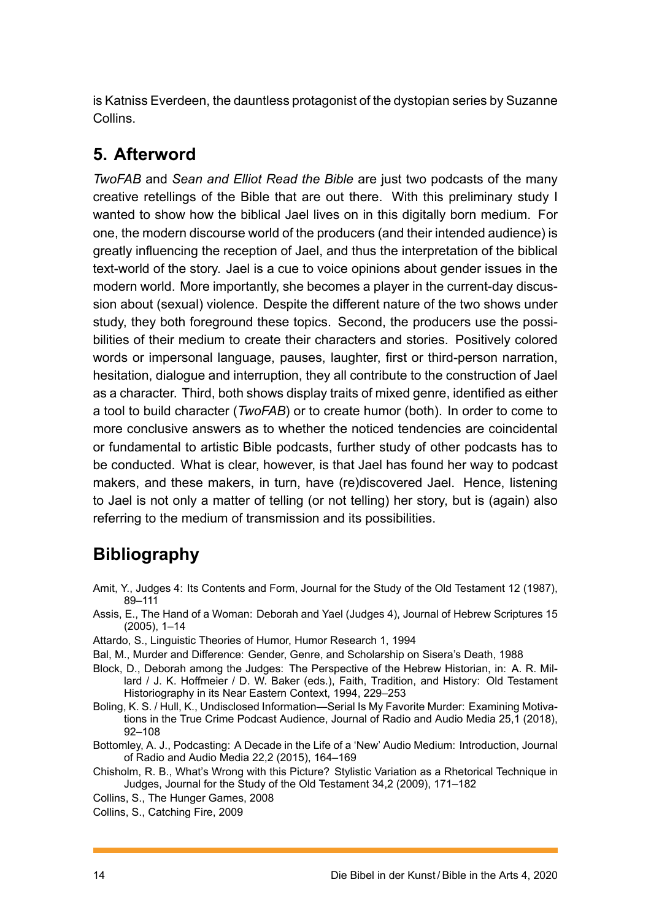is Katniss Everdeen, the dauntless protagonist of the dystopian series by Suzanne Collins.

## **5. Afterword**

*TwoFAB* and *Sean and Elliot Read the Bible* are just two podcasts of the many creative retellings of the Bible that are out there. With this preliminary study I wanted to show how the biblical Jael lives on in this digitally born medium. For one, the modern discourse world of the producers (and their intended audience) is greatly influencing the reception of Jael, and thus the interpretation of the biblical text-world of the story. Jael is a cue to voice opinions about gender issues in the modern world. More importantly, she becomes a player in the current-day discussion about (sexual) violence. Despite the different nature of the two shows under study, they both foreground these topics. Second, the producers use the possibilities of their medium to create their characters and stories. Positively colored words or impersonal language, pauses, laughter, first or third-person narration, hesitation, dialogue and interruption, they all contribute to the construction of Jael as a character. Third, both shows display traits of mixed genre, identified as either a tool to build character (*TwoFAB*) or to create humor (both). In order to come to more conclusive answers as to whether the noticed tendencies are coincidental or fundamental to artistic Bible podcasts, further study of other podcasts has to be conducted. What is clear, however, is that Jael has found her way to podcast makers, and these makers, in turn, have (re)discovered Jael. Hence, listening to Jael is not only a matter of telling (or not telling) her story, but is (again) also referring to the medium of transmission and its possibilities.

## **Bibliography**

- Amit, Y., Judges 4: Its Contents and Form, Journal for the Study of the Old Testament 12 (1987), 89–111
- Assis, E., The Hand of a Woman: Deborah and Yael (Judges 4), Journal of Hebrew Scriptures 15 (2005), 1–14
- Attardo, S., Linguistic Theories of Humor, Humor Research 1, 1994
- Bal, M., Murder and Difference: Gender, Genre, and Scholarship on Sisera's Death, 1988
- Block, D., Deborah among the Judges: The Perspective of the Hebrew Historian, in: A. R. Millard / J. K. Hoffmeier / D. W. Baker (eds.), Faith, Tradition, and History: Old Testament Historiography in its Near Eastern Context, 1994, 229–253
- Boling, K. S. / Hull, K., Undisclosed Information—Serial Is My Favorite Murder: Examining Motivations in the True Crime Podcast Audience, Journal of Radio and Audio Media 25,1 (2018), 92–108
- Bottomley, A. J., Podcasting: A Decade in the Life of a 'New' Audio Medium: Introduction, Journal of Radio and Audio Media 22,2 (2015), 164–169
- Chisholm, R. B., What's Wrong with this Picture? Stylistic Variation as a Rhetorical Technique in Judges, Journal for the Study of the Old Testament 34,2 (2009), 171–182
- Collins, S., The Hunger Games, 2008
- Collins, S., Catching Fire, 2009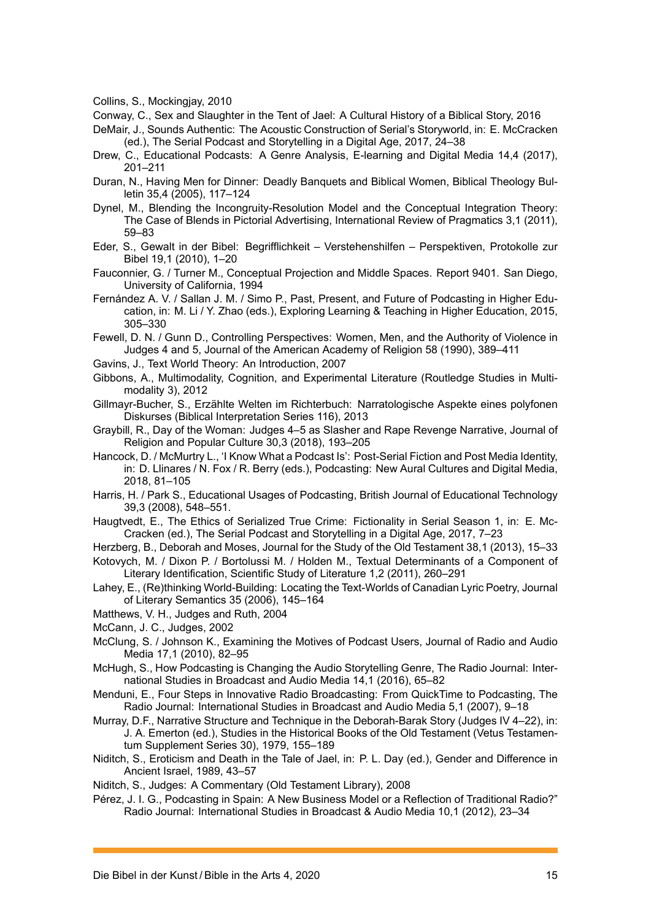Collins, S., Mockingjay, 2010

Conway, C., Sex and Slaughter in the Tent of Jael: A Cultural History of a Biblical Story, 2016

DeMair, J., Sounds Authentic: The Acoustic Construction of Serial's Storyworld, in: E. McCracken (ed.), The Serial Podcast and Storytelling in a Digital Age, 2017, 24–38

- Drew, C., Educational Podcasts: A Genre Analysis, E-learning and Digital Media 14,4 (2017), 201–211
- Duran, N., Having Men for Dinner: Deadly Banquets and Biblical Women, Biblical Theology Bulletin 35,4 (2005), 117–124
- Dynel, M., Blending the Incongruity-Resolution Model and the Conceptual Integration Theory: The Case of Blends in Pictorial Advertising, International Review of Pragmatics 3,1 (2011), 59–83
- Eder, S., Gewalt in der Bibel: Begrifflichkeit Verstehenshilfen Perspektiven, Protokolle zur Bibel 19,1 (2010), 1–20
- Fauconnier, G. / Turner M., Conceptual Projection and Middle Spaces. Report 9401. San Diego, University of California, 1994
- Fernández A. V. / Sallan J. M. / Simo P., Past, Present, and Future of Podcasting in Higher Education, in: M. Li / Y. Zhao (eds.), Exploring Learning & Teaching in Higher Education, 2015, 305–330

Fewell, D. N. / Gunn D., Controlling Perspectives: Women, Men, and the Authority of Violence in Judges 4 and 5, Journal of the American Academy of Religion 58 (1990), 389–411

- Gavins, J., Text World Theory: An Introduction, 2007
- Gibbons, A., Multimodality, Cognition, and Experimental Literature (Routledge Studies in Multimodality 3), 2012
- Gillmayr-Bucher, S., Erzählte Welten im Richterbuch: Narratologische Aspekte eines polyfonen Diskurses (Biblical Interpretation Series 116), 2013
- Graybill, R., Day of the Woman: Judges 4–5 as Slasher and Rape Revenge Narrative, Journal of Religion and Popular Culture 30,3 (2018), 193–205
- Hancock, D. / McMurtry L., 'I Know What a Podcast Is': Post-Serial Fiction and Post Media Identity, in: D. Llinares / N. Fox / R. Berry (eds.), Podcasting: New Aural Cultures and Digital Media, 2018, 81–105
- Harris, H. / Park S., Educational Usages of Podcasting, British Journal of Educational Technology 39,3 (2008), 548–551.
- Haugtvedt, E., The Ethics of Serialized True Crime: Fictionality in Serial Season 1, in: E. Mc-Cracken (ed.), The Serial Podcast and Storytelling in a Digital Age, 2017, 7–23
- Herzberg, B., Deborah and Moses, Journal for the Study of the Old Testament 38,1 (2013), 15–33 Kotovych, M. / Dixon P. / Bortolussi M. / Holden M., Textual Determinants of a Component of Literary Identification, Scientific Study of Literature 1,2 (2011), 260–291
- Lahey, E., (Re)thinking World-Building: Locating the Text-Worlds of Canadian Lyric Poetry, Journal of Literary Semantics 35 (2006), 145–164
- Matthews, V. H., Judges and Ruth, 2004
- McCann, J. C., Judges, 2002
- McClung, S. / Johnson K., Examining the Motives of Podcast Users, Journal of Radio and Audio Media 17,1 (2010), 82–95
- McHugh, S., How Podcasting is Changing the Audio Storytelling Genre, The Radio Journal: International Studies in Broadcast and Audio Media 14,1 (2016), 65–82
- Menduni, E., Four Steps in Innovative Radio Broadcasting: From QuickTime to Podcasting, The Radio Journal: International Studies in Broadcast and Audio Media 5,1 (2007), 9–18
- Murray, D.F., Narrative Structure and Technique in the Deborah-Barak Story (Judges IV 4–22), in: J. A. Emerton (ed.), Studies in the Historical Books of the Old Testament (Vetus Testamentum Supplement Series 30), 1979, 155–189
- Niditch, S., Eroticism and Death in the Tale of Jael, in: P. L. Day (ed.), Gender and Difference in Ancient Israel, 1989, 43–57
- Niditch, S., Judges: A Commentary (Old Testament Library), 2008
- Pérez, J. I. G., Podcasting in Spain: A New Business Model or a Reflection of Traditional Radio?" Radio Journal: International Studies in Broadcast & Audio Media 10,1 (2012), 23–34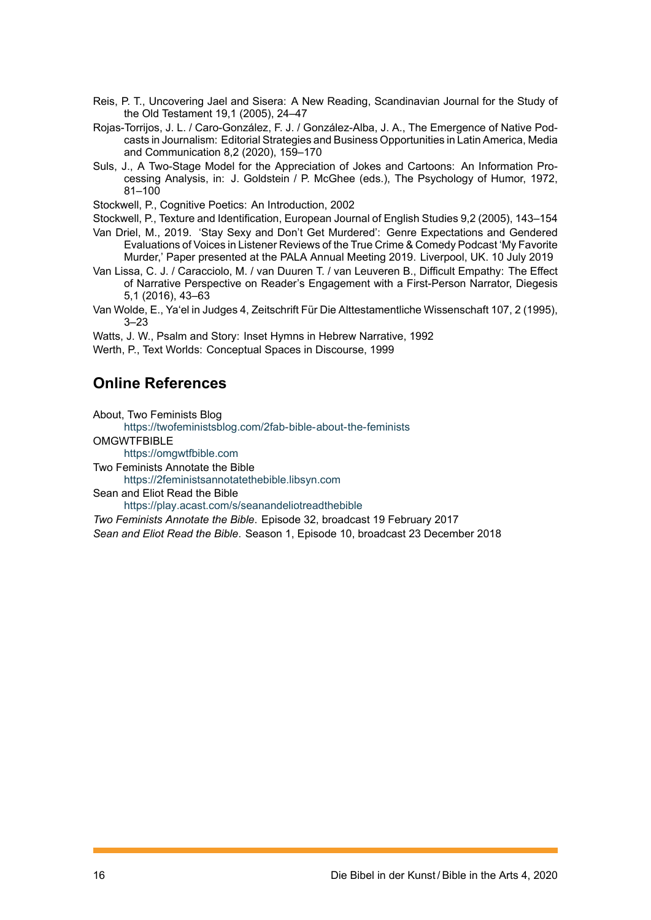- Reis, P. T., Uncovering Jael and Sisera: A New Reading, Scandinavian Journal for the Study of the Old Testament 19,1 (2005), 24–47
- Rojas-Torrijos, J. L. / Caro-González, F. J. / González-Alba, J. A., The Emergence of Native Podcasts in Journalism: Editorial Strategies and Business Opportunities in Latin America, Media and Communication 8,2 (2020), 159–170
- Suls, J., A Two-Stage Model for the Appreciation of Jokes and Cartoons: An Information Processing Analysis, in: J. Goldstein / P. McGhee (eds.), The Psychology of Humor, 1972, 81–100
- Stockwell, P., Cognitive Poetics: An Introduction, 2002
- Stockwell, P., Texture and Identification, European Journal of English Studies 9,2 (2005), 143–154
- Van Driel, M., 2019. 'Stay Sexy and Don't Get Murdered': Genre Expectations and Gendered Evaluations of Voices in Listener Reviews of the True Crime & Comedy Podcast 'My Favorite Murder,' Paper presented at the PALA Annual Meeting 2019. Liverpool, UK. 10 July 2019
- Van Lissa, C. J. / Caracciolo, M. / van Duuren T. / van Leuveren B., Difficult Empathy: The Effect of Narrative Perspective on Reader's Engagement with a First-Person Narrator, Diegesis 5,1 (2016), 43–63
- Van Wolde, E., Ya'el in Judges 4, Zeitschrift Für Die Alttestamentliche Wissenschaft 107, 2 (1995), 3–23
- Watts, J. W., Psalm and Story: Inset Hymns in Hebrew Narrative, 1992
- Werth, P., Text Worlds: Conceptual Spaces in Discourse, 1999

### **Online References**

About, Two Feminists Blog

https://twofeministsblog.com/2fab-bible-about-the-feminists

**OMGWTFBIBLE** 

https://omgwtfbible.com

Two Feminists Annotate the Bible

[https://2feministsannotatethebible.libsyn.com](https://twofeministsblog.com/2fab-bible-about-the-feminists)

Sean and Eliot Read the Bible

[https://play.acast.com/s/](https://omgwtfbible.com)seanandeliotreadthebible

*Two Feminists Annotate the Bible*. Episode 32, broadcast 19 February 2017

*Sean [and Eliot Read the Bible](https://2feministsannotatethebible.libsyn.com)*. Season 1, Episode 10, broadcast 23 December 2018